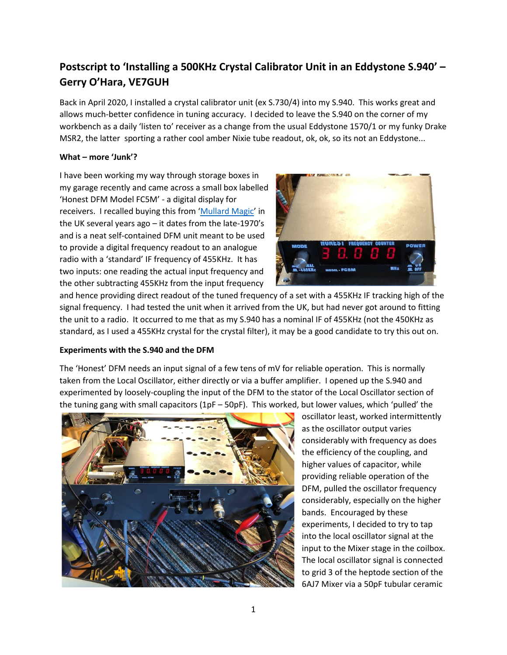# **Postscript to 'Installing a 500KHz Crystal Calibrator Unit in an Eddystone S.940' – Gerry O'Hara, VE7GUH**

Back in April 2020, I installed a crystal calibrator unit (ex S.730/4) into my S.940. This works great and allows much-better confidence in tuning accuracy. I decided to leave the S.940 on the corner of my workbench as a daily 'listen to' receiver as a change from the usual Eddystone 1570/1 or my funky Drake MSR2, the latter sporting a rather cool amber Nixie tube readout, ok, ok, so its not an Eddystone...

## **What – more 'Junk'?**

I have been working my way through storage boxes in my garage recently and came across a small box labelled 'Honest DFM Model FC5M' - a digital display for receivers. I recalled buying this from '[Mullard Magic](https://mullard.org/)' in the UK several years ago – it dates from the late-1970's and is a neat self-contained DFM unit meant to be used to provide a digital frequency readout to an analogue radio with a 'standard' IF frequency of 455KHz. It has two inputs: one reading the actual input frequency and the other subtracting 455KHz from the input frequency



and hence providing direct readout of the tuned frequency of a set with a 455KHz IF tracking high of the signal frequency. I had tested the unit when it arrived from the UK, but had never got around to fitting the unit to a radio. It occurred to me that as my S.940 has a nominal IF of 455KHz (not the 450KHz as standard, as I used a 455KHz crystal for the crystal filter), it may be a good candidate to try this out on.

# **Experiments with the S.940 and the DFM**

The 'Honest' DFM needs an input signal of a few tens of mV for reliable operation. This is normally taken from the Local Oscillator, either directly or via a buffer amplifier. I opened up the S.940 and experimented by loosely-coupling the input of the DFM to the stator of the Local Oscillator section of the tuning gang with small capacitors (1pF – 50pF). This worked, but lower values, which 'pulled' the



oscillator least, worked intermittently as the oscillator output varies considerably with frequency as does the efficiency of the coupling, and higher values of capacitor, while providing reliable operation of the DFM, pulled the oscillator frequency considerably, especially on the higher bands. Encouraged by these experiments, I decided to try to tap into the local oscillator signal at the input to the Mixer stage in the coilbox. The local oscillator signal is connected to grid 3 of the heptode section of the 6AJ7 Mixer via a 50pF tubular ceramic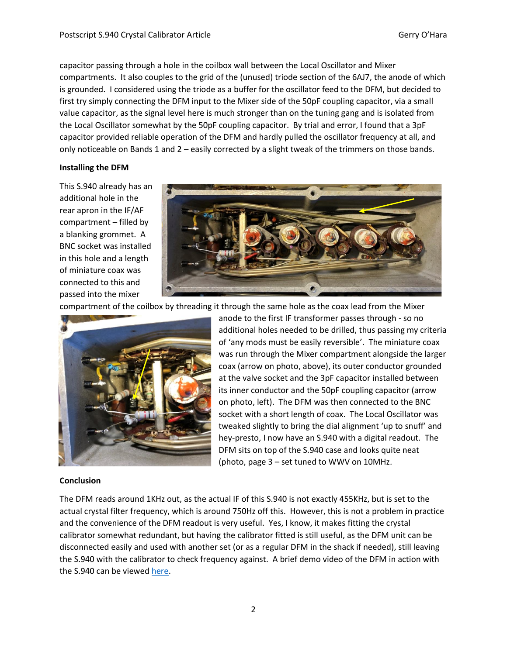capacitor passing through a hole in the coilbox wall between the Local Oscillator and Mixer compartments. It also couples to the grid of the (unused) triode section of the 6AJ7, the anode of which is grounded. I considered using the triode as a buffer for the oscillator feed to the DFM, but decided to first try simply connecting the DFM input to the Mixer side of the 50pF coupling capacitor, via a small value capacitor, as the signal level here is much stronger than on the tuning gang and is isolated from the Local Oscillator somewhat by the 50pF coupling capacitor. By trial and error, I found that a 3pF capacitor provided reliable operation of the DFM and hardly pulled the oscillator frequency at all, and only noticeable on Bands 1 and 2 – easily corrected by a slight tweak of the trimmers on those bands.

#### **Installing the DFM**

This S.940 already has an additional hole in the rear apron in the IF/AF compartment – filled by a blanking grommet. A BNC socket was installed in this hole and a length of miniature coax was connected to this and passed into the mixer



compartment of the coilbox by threading it through the same hole as the coax lead from the Mixer



anode to the first IF transformer passes through - so no additional holes needed to be drilled, thus passing my criteria of 'any mods must be easily reversible'. The miniature coax was run through the Mixer compartment alongside the larger coax (arrow on photo, above), its outer conductor grounded at the valve socket and the 3pF capacitor installed between its inner conductor and the 50pF coupling capacitor (arrow on photo, left). The DFM was then connected to the BNC socket with a short length of coax. The Local Oscillator was tweaked slightly to bring the dial alignment 'up to snuff' and hey-presto, I now have an S.940 with a digital readout. The DFM sits on top of the S.940 case and looks quite neat (photo, page 3 – set tuned to WWV on 10MHz.

### **Conclusion**

The DFM reads around 1KHz out, as the actual IF of this S.940 is not exactly 455KHz, but is set to the actual crystal filter frequency, which is around 750Hz off this. However, this is not a problem in practice and the convenience of the DFM readout is very useful. Yes, I know, it makes fitting the crystal calibrator somewhat redundant, but having the calibrator fitted is still useful, as the DFM unit can be disconnected easily and used with another set (or as a regular DFM in the shack if needed), still leaving the S.940 with the calibrator to check frequency against. A brief demo video of the DFM in action with the S.940 can be viewed [here.](https://youtu.be/pRKSteJswI0)